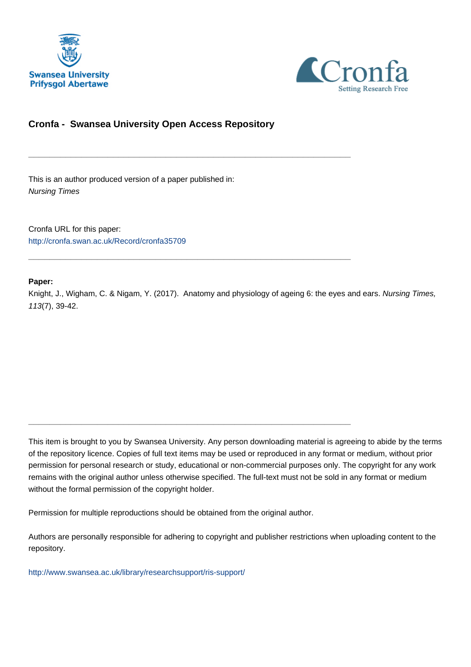



## **Cronfa - Swansea University Open Access Repository**

\_\_\_\_\_\_\_\_\_\_\_\_\_\_\_\_\_\_\_\_\_\_\_\_\_\_\_\_\_\_\_\_\_\_\_\_\_\_\_\_\_\_\_\_\_\_\_\_\_\_\_\_\_\_\_\_\_\_\_\_\_

\_\_\_\_\_\_\_\_\_\_\_\_\_\_\_\_\_\_\_\_\_\_\_\_\_\_\_\_\_\_\_\_\_\_\_\_\_\_\_\_\_\_\_\_\_\_\_\_\_\_\_\_\_\_\_\_\_\_\_\_\_

\_\_\_\_\_\_\_\_\_\_\_\_\_\_\_\_\_\_\_\_\_\_\_\_\_\_\_\_\_\_\_\_\_\_\_\_\_\_\_\_\_\_\_\_\_\_\_\_\_\_\_\_\_\_\_\_\_\_\_\_\_

This is an author produced version of a paper published in: Nursing Times

Cronfa URL for this paper: <http://cronfa.swan.ac.uk/Record/cronfa35709>

#### **Paper:**

Knight, J., Wigham, C. & Nigam, Y. (2017). Anatomy and physiology of ageing 6: the eyes and ears. Nursing Times, 113(7), 39-42.

This item is brought to you by Swansea University. Any person downloading material is agreeing to abide by the terms of the repository licence. Copies of full text items may be used or reproduced in any format or medium, without prior permission for personal research or study, educational or non-commercial purposes only. The copyright for any work remains with the original author unless otherwise specified. The full-text must not be sold in any format or medium without the formal permission of the copyright holder.

Permission for multiple reproductions should be obtained from the original author.

Authors are personally responsible for adhering to copyright and publisher restrictions when uploading content to the repository.

[http://www.swansea.ac.uk/library/researchsupport/ris-support/](http://www.swansea.ac.uk/library/researchsupport/ris-support/ )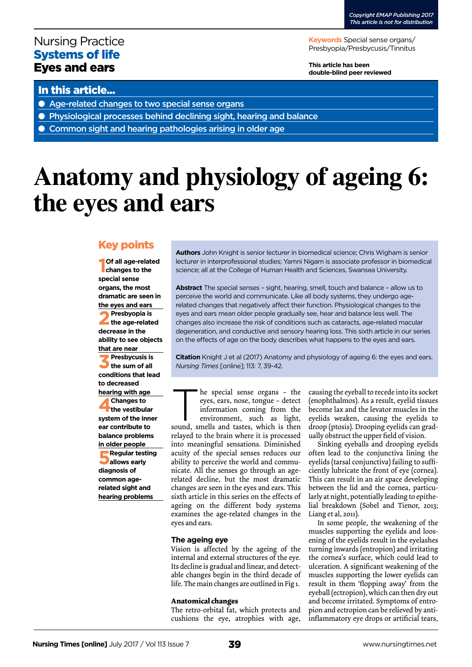# Nursing Practice Systems of life Eyes and ears

**Keywords** Special sense organs/ Presbyopia/Presbycusis/Tinnitus

**This article has been double-blind peer reviewed**

### In this article...

- Age-related changes to two special sense organs
- Physiological processes behind declining sight, hearing and balance
- Common sight and hearing pathologies arising in older age

# **Anatomy and physiology of ageing 6: the eyes and ears**

## Key points

**1 Of all age-related changes to the special sense organs, the most dramatic are seen in the eyes and ears 2Presbyopia is the age-related decrease in the ability to see objects that are near 3Presbycusis is the sum of all conditions that lead to decreased hearing with age 4Changes to the vestibular system of the inner ear contribute to balance problems in older people 5Regular testing allows early diagnosis of common agerelated sight and** 

**hearing problems** 

**Authors** John Knight is senior lecturer in biomedical science; Chris Wigham is senior lecturer in interprofessional studies; Yamni Nigam is associate professor in biomedical science; all at the College of Human Health and Sciences, Swansea University.

**Abstract** The special senses – sight, hearing, smell, touch and balance – allow us to perceive the world and communicate. Like all body systems, they undergo agerelated changes that negatively affect their function. Physiological changes to the eyes and ears mean older people gradually see, hear and balance less well. The changes also increase the risk of conditions such as cataracts, age-related macular degeneration, and conductive and sensory hearing loss. This sixth article in our series on the effects of age on the body describes what happens to the eyes and ears.

**Citation** Knight J et al (2017) Anatomy and physiology of ageing 6: the eyes and ears. *Nursing Times* [online]; 113: 7, 39-42.

he special sense organs – the<br>eyes, ears, nose, tongue – detect<br>information coming from the<br>environment, such as light,<br>sound, smells and tastes, which is then eyes, ears, nose, tongue – detect information coming from the

environment, such as light, sound, smells and tastes, which is then relayed to the brain where it is processed into meaningful sensations. Diminished acuity of the special senses reduces our ability to perceive the world and communicate. All the senses go through an agerelated decline, but the most dramatic changes are seen in the eyes and ears. This sixth article in this series on the effects of ageing on the different body systems examines the age-related changes in the eyes and ears.

#### **The ageing eye**

Vision is affected by the ageing of the internal and external structures of the eye. Its decline is gradual and linear, and detectable changes begin in the third decade of life. The main changes are outlined in Fig 1.

#### **Anatomical changes**

The retro-orbital fat, which protects and cushions the eye, atrophies with age,

causing the eyeball to recede into its socket (enophthalmos). As a result, eyelid tissues become lax and the levator muscles in the eyelids weaken, causing the eyelids to droop (ptosis). Drooping eyelids can gradually obstruct the upper field of vision.

Sinking eyeballs and drooping eyelids often lead to the conjunctiva lining the eyelids (tarsal conjunctiva) failing to sufficiently lubricate the front of eye (cornea). This can result in an air space developing between the lid and the cornea, particularly at night, potentially leading to epithelial breakdown (Sobel and Tienor, 2013; Liang et al, 2011).

In some people, the weakening of the muscles supporting the eyelids and loosening of the eyelids result in the eyelashes turning inwards (entropion) and irritating the cornea's surface, which could lead to ulceration. A significant weakening of the muscles supporting the lower eyelids can result in them 'flopping away' from the eyeball (ectropion), which can then dry out and become irritated. Symptoms of entropion and ectropion can be relieved by antiinflammatory eye drops or artificial tears,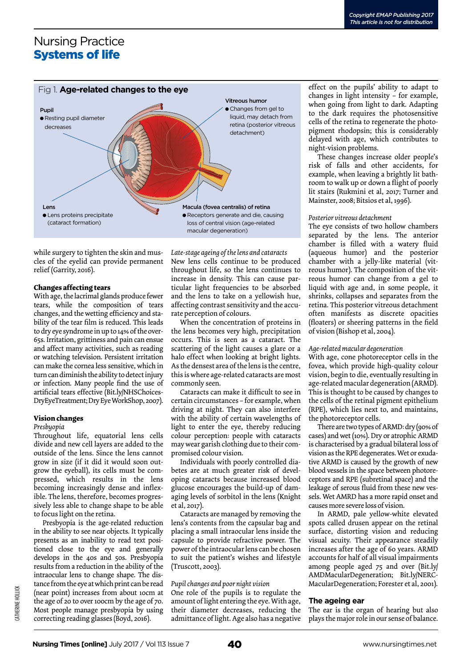# Nursing Practice Systems of life



while surgery to tighten the skin and muscles of the eyelid can provide permanent relief (Garrity, 2016).

#### **Changes affecting tears**

With age, the lacrimal glands produce fewer tears, while the composition of tears changes, and the wetting efficiency and stability of the tear film is reduced. This leads to dry eye syndrome in up to 14% of the over-65s. Irritation, grittiness and pain can ensue and affect many activities, such as reading or watching television. Persistent irritation can make the cornea less sensitive, which in turn can diminish the ability to detect injury or infection. Many people find the use of artificial tears effective (Bit.ly/NHSChoices-DryEyeTreatment; Dry Eye WorkShop, 2007).

#### **Vision changes**

#### *Presbyopia*

Throughout life, equatorial lens cells divide and new cell layers are added to the outside of the lens. Since the lens cannot grow in size (if it did it would soon outgrow the eyeball), its cells must be compressed, which results in the lens becoming increasingly dense and inflexible. The lens, therefore, becomes progressively less able to change shape to be able to focus light on the retina.

Presbyopia is the age-related reduction in the ability to see near objects. It typically presents as an inability to read text positioned close to the eye and generally develops in the 40s and 50s. Presbyopia results from a reduction in the ability of the intraocular lens to change shape. The distance from the eye at which print can be read (near point) increases from about 10cm at the age of 20 to over 100cm by the age of 70. Most people manage presbyopia by using correcting reading glasses (Boyd, 2016).

*Late-stage ageing of the lens and cataracts* New lens cells continue to be produced throughout life, so the lens continues to increase in density. This can cause particular light frequencies to be absorbed and the lens to take on a yellowish hue, affecting contrast sensitivity and the accurate perception of colours.

When the concentration of proteins in the lens becomes very high, precipitation occurs. This is seen as a cataract. The scattering of the light causes a glare or a halo effect when looking at bright lights. As the densest area of the lens is the centre, this is where age-related cataracts are most commonly seen.

Cataracts can make it difficult to see in certain circumstances – for example, when driving at night. They can also interfere with the ability of certain wavelengths of light to enter the eye, thereby reducing colour perception: people with cataracts may wear garish clothing due to their compromised colour vision.

Individuals with poorly controlled diabetes are at much greater risk of developing cataracts because increased blood glucose encourages the build-up of damaging levels of sorbitol in the lens (Knight et al, 2017).

Cataracts are managed by removing the lens's contents from the capsular bag and placing a small intraocular lens inside the capsule to provide refractive power. The power of the intraocular lens can be chosen to suit the patient's wishes and lifestyle (Truscott, 2003).

#### *Pupil changes and poor night vision* One role of the pupils is to regulate the amount of light entering the eye. With age, their diameter decreases, reducing the admittance of light. Age also has a negative

effect on the pupils' ability to adapt to changes in light intensity – for example, when going from light to dark. Adapting to the dark requires the photosensitive cells of the retina to regenerate the photopigment rhodopsin; this is considerably delayed with age, which contributes to night-vision problems.

These changes increase older people's risk of falls and other accidents, for example, when leaving a brightly lit bathroom to walk up or down a flight of poorly lit stairs (Rukmini et al, 2017; Turner and Mainster, 2008; Bitsios et al, 1996).

#### *Posterior vitreous detachment*

The eye consists of two hollow chambers separated by the lens. The anterior chamber is filled with a watery fluid (aqueous humor) and the posterior chamber with a jelly-like material (vitreous humor). The composition of the vitreous humor can change from a gel to liquid with age and, in some people, it shrinks, collapses and separates from the retina. This posterior vitreous detachment often manifests as discrete opacities (floaters) or sheering patterns in the field of vision (Bishop et al, 2004).

#### *Age-related macular degeneration*

With age, cone photoreceptor cells in the fovea, which provide high-quality colour vision, begin to die, eventually resulting in age-related macular degeneration (ARMD). This is thought to be caused by changes to the cells of the retinal pigment epithelium (RPE), which lies next to, and maintains, the photoreceptor cells.

There are two types of ARMD: dry (90% of cases) and wet (10%). Dry or atrophic ARMD is characterised by a gradual bilateral loss of vision as the RPE degenerates. Wet or exudative ARMD is caused by the growth of new blood vessels in the space between photoreceptors and RPE (subretinal space) and the leakage of serous fluid from these new vessels. Wet AMRD has a more rapid onset and causes more severe loss of vision.

In ARMD, pale yellow-white elevated spots called drusen appear on the retinal surface, distorting vision and reducing visual acuity. Their appearance steadily increases after the age of 60 years. ARMD accounts for half of all visual impairments among people aged 75 and over (Bit.ly/ AMDMacularDegeneration; Bit.ly/NERC-MacularDegeneration; Forester et al, 2001).

#### **The ageing ear**

The ear is the organ of hearing but also plays the major role in our sense of balance.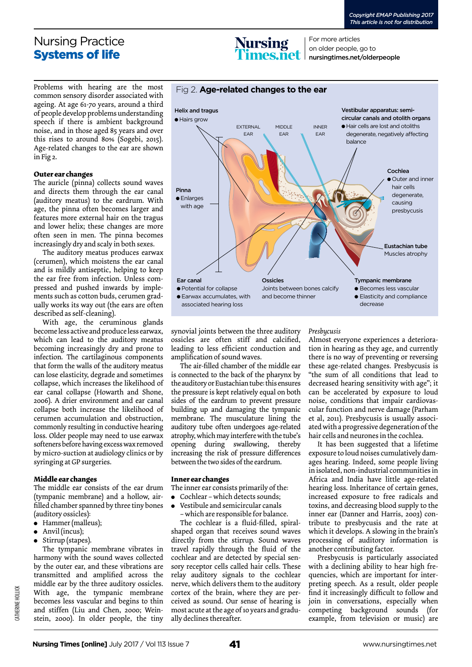## Nursing Practice Systems of life

**Nursing** 

Fig 2. **Age-related changes to the ear**

For more articles on older people, go to nursingtimes.net/olderpeople

Problems with hearing are the most common sensory disorder associated with ageing. At age 61-70 years, around a third of people develop problems understanding speech if there is ambient background noise, and in those aged 85 years and over this rises to around 80% (Sogebi, 2015). Age-related changes to the ear are shown in Fig 2.

#### **Outer ear changes**

The auricle (pinna) collects sound waves and directs them through the ear canal (auditory meatus) to the eardrum. With age, the pinna often becomes larger and features more external hair on the tragus and lower helix; these changes are more often seen in men. The pinna becomes increasingly dry and scaly in both sexes.

The auditory meatus produces earwax (cerumen), which moistens the ear canal and is mildly antiseptic, helping to keep the ear free from infection. Unless compressed and pushed inwards by implements such as cotton buds, cerumen gradually works its way out (the ears are often described as self-cleaning).

With age, the ceruminous glands become less active and produce less earwax, which can lead to the auditory meatus becoming increasingly dry and prone to infection. The cartilaginous components that form the walls of the auditory meatus can lose elasticity, degrade and sometimes collapse, which increases the likelihood of ear canal collapse (Howarth and Shone, 2006). A drier environment and ear canal collapse both increase the likelihood of cerumen accumulation and obstruction, commonly resulting in conductive hearing loss. Older people may need to use earwax softeners before having excess wax removed by micro-suction at audiology clinics or by syringing at GP surgeries.

#### **Middle ear changes**

The middle ear consists of the ear drum (tympanic membrane) and a hollow, airfilled chamber spanned by three tiny bones (auditory ossicles):

- $\bullet$  Hammer (malleus);
- $\bullet$  Anvil (incus);
- $\bullet$  Stirrup (stapes).

The tympanic membrane vibrates in harmony with the sound waves collected by the outer ear, and these vibrations are transmitted and amplified across the middle ear by the three auditory ossicles. With age, the tympanic membrane becomes less vascular and begins to thin and stiffen (Liu and Chen, 2000; Weinstein, 2000). In older people, the tiny



synovial joints between the three auditory ossicles are often stiff and calcified, leading to less efficient conduction and amplification of sound waves.

The air-filled chamber of the middle ear is connected to the back of the pharynx by the auditory or Eustachian tube: this ensures the pressure is kept relatively equal on both sides of the eardrum to prevent pressure building up and damaging the tympanic membrane. The musculature lining the auditory tube often undergoes age-related atrophy, which may interfere with the tube's opening during swallowing, thereby increasing the risk of pressure differences between the two sides of the eardrum.

#### **Inner ear changes**

The inner ear consists primarily of the:

- $\bullet$  Cochlear which detects sounds;
- $\bullet$  Vestibule and semicircular canals – which are responsible for balance.

The cochlear is a fluid-filled, spiralshaped organ that receives sound waves directly from the stirrup. Sound waves travel rapidly through the fluid of the cochlear and are detected by special sensory receptor cells called hair cells. These relay auditory signals to the cochlear nerve, which delivers them to the auditory cortex of the brain, where they are perceived as sound. Our sense of hearing is most acute at the age of 10 years and gradually declines thereafter.

*Presbycusis*

Almost everyone experiences a deterioration in hearing as they age, and currently there is no way of preventing or reversing these age-related changes. Presbycusis is "the sum of all conditions that lead to decreased hearing sensitivity with age"; it can be accelerated by exposure to loud noise, conditions that impair cardiovascular function and nerve damage (Parham et al, 2011). Presbycusis is usually associated with a progressive degeneration of the hair cells and neurones in the cochlea.

It has been suggested that a lifetime exposure to loud noises cumulatively damages hearing. Indeed, some people living in isolated, non-industrial communities in Africa and India have little age-related hearing loss. Inheritance of certain genes, increased exposure to free radicals and toxins, and decreasing blood supply to the inner ear (Danner and Harris, 2003) contribute to presbycusis and the rate at which it develops. A slowing in the brain's processing of auditory information is another contributing factor.

Presbycusis is particularly associated with a declining ability to hear high frequencies, which are important for interpreting speech. As a result, older people find it increasingly difficult to follow and join in conversations, especially when competing background sounds (for example, from television or music) are